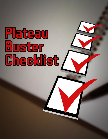# Plateau Buster **Checkist**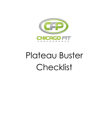

# Plateau Buster Checklist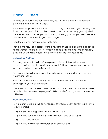## **Plateau Busters**

At some point during this transformation, you will hit a plateau. It happens to everyone during his or her journey.

Sometimes this plateau is just your body adapting to the new style of eating and living, and things will pick up after a week or two once the body gets adjusted. Other times, the plateau is your body's way of telling you that you need to make another small adjustment to get it to change.

Then there is what most plateaus really are…

They are the result of a person letting a few little things slip back into their eating habits, workout habits, or life. It serves us best to evaluate, and I mean honestly evaluate, your current habits to see if they are in line with your goals.

#### **Defining a Plateau**

First thing we want to do is define a plateau. To be plateaued, you must not have any noticeable changes in your weight, fat loss, measurements, or health for more than two consecutive weeks.

This includes things like improved sleep, digestion, and moods as well as your weight and inches.

If you are making progress in any one area, we will not want to change anything with your diet or exercise.

One week of stalled progress doesn't mean that you are stuck. We want to see more than two weeks of no progress in ANY area before adjusting your new diet or lifestyle.

### **Plateau Checklist**

Now before we go making any changes, let's reassess your current status in the following areas:

- 1) Are you following the nutritional habits 100%?
- 2) Are you currently getting 8 hours minimum sleep each night?
- 3) Is that sleep restful?
- 4) Are you walking for 30 minutes each day outside?